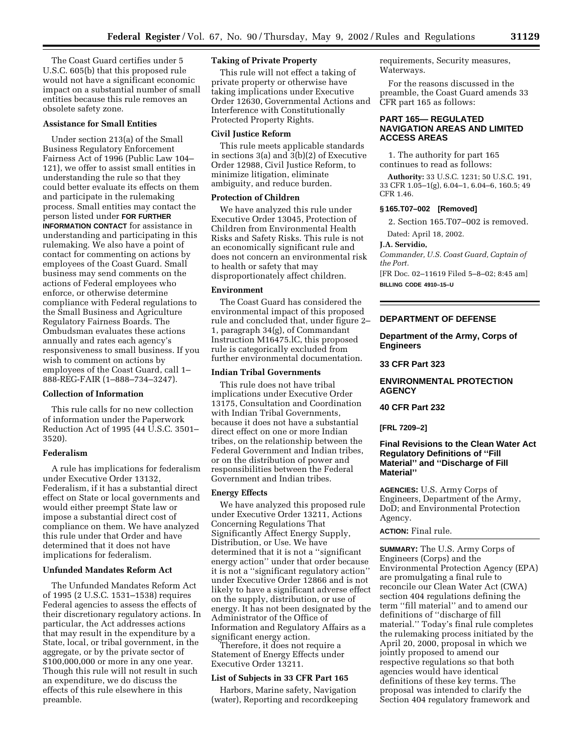The Coast Guard certifies under 5 U.S.C. 605(b) that this proposed rule would not have a significant economic impact on a substantial number of small entities because this rule removes an obsolete safety zone.

# **Assistance for Small Entities**

Under section 213(a) of the Small Business Regulatory Enforcement Fairness Act of 1996 (Public Law 104– 121), we offer to assist small entities in understanding the rule so that they could better evaluate its effects on them and participate in the rulemaking process. Small entities may contact the person listed under **FOR FURTHER INFORMATION CONTACT** for assistance in understanding and participating in this rulemaking. We also have a point of contact for commenting on actions by employees of the Coast Guard. Small business may send comments on the actions of Federal employees who enforce, or otherwise determine compliance with Federal regulations to the Small Business and Agriculture Regulatory Fairness Boards. The Ombudsman evaluates these actions annually and rates each agency's responsiveness to small business. If you wish to comment on actions by employees of the Coast Guard, call 1– 888-REG-FAIR (1–888–734–3247).

### **Collection of Information**

This rule calls for no new collection of information under the Paperwork Reduction Act of 1995 (44 U.S.C. 3501– 3520).

### **Federalism**

A rule has implications for federalism under Executive Order 13132, Federalism, if it has a substantial direct effect on State or local governments and would either preempt State law or impose a substantial direct cost of compliance on them. We have analyzed this rule under that Order and have determined that it does not have implications for federalism.

# **Unfunded Mandates Reform Act**

The Unfunded Mandates Reform Act of 1995 (2 U.S.C. 1531–1538) requires Federal agencies to assess the effects of their discretionary regulatory actions. In particular, the Act addresses actions that may result in the expenditure by a State, local, or tribal government, in the aggregate, or by the private sector of \$100,000,000 or more in any one year. Though this rule will not result in such an expenditure, we do discuss the effects of this rule elsewhere in this preamble.

# **Taking of Private Property**

This rule will not effect a taking of private property or otherwise have taking implications under Executive Order 12630, Governmental Actions and Interference with Constitutionally Protected Property Rights.

### **Civil Justice Reform**

This rule meets applicable standards in sections  $3(a)$  and  $3(b)(2)$  of Executive Order 12988, Civil Justice Reform, to minimize litigation, eliminate ambiguity, and reduce burden.

# **Protection of Children**

We have analyzed this rule under Executive Order 13045, Protection of Children from Environmental Health Risks and Safety Risks. This rule is not an economically significant rule and does not concern an environmental risk to health or safety that may disproportionately affect children.

#### **Environment**

The Coast Guard has considered the environmental impact of this proposed rule and concluded that, under figure 2– 1, paragraph 34(g), of Commandant Instruction M16475.lC, this proposed rule is categorically excluded from further environmental documentation.

#### **Indian Tribal Governments**

This rule does not have tribal implications under Executive Order 13175, Consultation and Coordination with Indian Tribal Governments, because it does not have a substantial direct effect on one or more Indian tribes, on the relationship between the Federal Government and Indian tribes, or on the distribution of power and responsibilities between the Federal Government and Indian tribes.

# **Energy Effects**

We have analyzed this proposed rule under Executive Order 13211, Actions Concerning Regulations That Significantly Affect Energy Supply, Distribution, or Use. We have determined that it is not a ''significant energy action'' under that order because it is not a ''significant regulatory action'' under Executive Order 12866 and is not likely to have a significant adverse effect on the supply, distribution, or use of energy. It has not been designated by the Administrator of the Office of Information and Regulatory Affairs as a

Therefore, it does not require a Statement of Energy Effects under Executive Order 13211.

# **List of Subjects in 33 CFR Part 165**

Harbors, Marine safety, Navigation (water), Reporting and recordkeeping requirements, Security measures, Waterways.

For the reasons discussed in the preamble, the Coast Guard amends 33 CFR part 165 as follows:

# **PART 165— REGULATED NAVIGATION AREAS AND LIMITED ACCESS AREAS**

1. The authority for part 165 continues to read as follows:

**Authority:** 33 U.S.C. 1231; 50 U.S.C. 191, 33 CFR 1.05–1(g), 6.04–1, 6.04–6, 160.5; 49 CFR 1.46.

# **§ 165.T07–002 [Removed]**

2. Section 165.T07–002 is removed.

Dated: April 18, 2002.

#### **J.A. Servidio,**

*Commander, U.S. Coast Guard, Captain of the Port.*

[FR Doc. 02–11619 Filed 5–8–02; 8:45 am] **BILLING CODE 4910–15–U**

# **DEPARTMENT OF DEFENSE**

# **Department of the Army, Corps of Engineers**

#### **33 CFR Part 323**

# **ENVIRONMENTAL PROTECTION AGENCY**

## **40 CFR Part 232**

**[FRL 7209–2]**

# **Final Revisions to the Clean Water Act Regulatory Definitions of ''Fill Material'' and ''Discharge of Fill Material''**

**AGENCIES:** U.S. Army Corps of Engineers, Department of the Army, DoD; and Environmental Protection Agency.

# **ACTION:** Final rule.

**SUMMARY:** The U.S. Army Corps of Engineers (Corps) and the Environmental Protection Agency (EPA) are promulgating a final rule to reconcile our Clean Water Act (CWA) section 404 regulations defining the term ''fill material'' and to amend our definitions of ''discharge of fill material.'' Today's final rule completes the rulemaking process initiated by the April 20, 2000, proposal in which we jointly proposed to amend our respective regulations so that both agencies would have identical definitions of these key terms. The proposal was intended to clarify the Section 404 regulatory framework and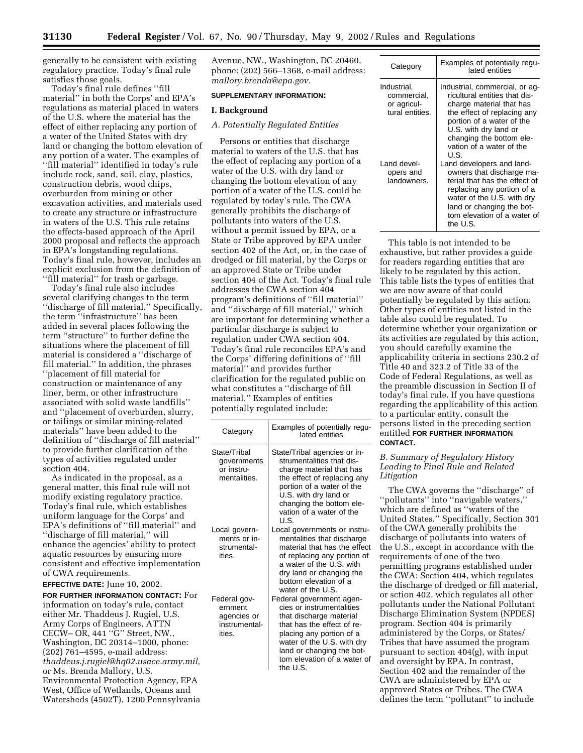generally to be consistent with existing regulatory practice. Today's final rule satisfies those goals.

Today's final rule defines ''fill material'' in both the Corps' and EPA's regulations as material placed in waters of the U.S. where the material has the effect of either replacing any portion of a water of the United States with dry land or changing the bottom elevation of any portion of a water. The examples of ''fill material'' identified in today's rule include rock, sand, soil, clay, plastics, construction debris, wood chips, overburden from mining or other excavation activities, and materials used to create any structure or infrastructure in waters of the U.S. This rule retains the effects-based approach of the April 2000 proposal and reflects the approach in EPA's longstanding regulations. Today's final rule, however, includes an explicit exclusion from the definition of ''fill material'' for trash or garbage.

Today's final rule also includes several clarifying changes to the term ''discharge of fill material.'' Specifically, the term ''infrastructure'' has been added in several places following the term ''structure'' to further define the situations where the placement of fill material is considered a ''discharge of fill material.'' In addition, the phrases ''placement of fill material for construction or maintenance of any liner, berm, or other infrastructure associated with solid waste landfills'' and ''placement of overburden, slurry, or tailings or similar mining-related materials'' have been added to the definition of ''discharge of fill material'' to provide further clarification of the types of activities regulated under section 404.

As indicated in the proposal, as a general matter, this final rule will not modify existing regulatory practice. Today's final rule, which establishes uniform language for the Corps' and EPA's definitions of ''fill material'' and ''discharge of fill material,'' will enhance the agencies' ability to protect aquatic resources by ensuring more consistent and effective implementation of CWA requirements.

**EFFECTIVE DATE:** June 10, 2002.

**FOR FURTHER INFORMATION CONTACT:** For information on today's rule, contact either Mr. Thaddeus J. Rugiel, U.S. Army Corps of Engineers, ATTN CECW– OR, 441 ''G'' Street, NW., Washington, DC 20314–1000, phone: (202) 761–4595, e-mail address: *thaddeus.j.rugiel@hq02.usace.army.mil,* or Ms. Brenda Mallory, U.S. Environmental Protection Agency, EPA West, Office of Wetlands, Oceans and Watersheds (4502T), 1200 Pennsylvania Avenue, NW., Washington, DC 20460, phone: (202) 566–1368, e-mail address: *mallory.brenda@epa.gov.*

# **SUPPLEMENTARY INFORMATION:**

### **I. Background**

# *A. Potentially Regulated Entities*

Persons or entities that discharge material to waters of the U.S. that has the effect of replacing any portion of a water of the U.S. with dry land or changing the bottom elevation of any portion of a water of the U.S. could be regulated by today's rule. The CWA generally prohibits the discharge of pollutants into waters of the U.S. without a permit issued by EPA, or a State or Tribe approved by EPA under section 402 of the Act, or, in the case of dredged or fill material, by the Corps or an approved State or Tribe under section 404 of the Act. Today's final rule addresses the CWA section 404 program's definitions of ''fill material'' and ''discharge of fill material,'' which are important for determining whether a particular discharge is subject to regulation under CWA section 404. Today's final rule reconciles EPA's and the Corps' differing definitions of ''fill material'' and provides further clarification for the regulated public on what constitutes a ''discharge of fill material.'' Examples of entities potentially regulated include:

| Category                                                          | Examples of potentially regu-<br>lated entities                                                                                                                                                                                                  |
|-------------------------------------------------------------------|--------------------------------------------------------------------------------------------------------------------------------------------------------------------------------------------------------------------------------------------------|
| State/Tribal<br>governments<br>or instru-<br>mentalities.         | State/Tribal agencies or in-<br>strumentalities that dis-<br>charge material that has<br>the effect of replacing any<br>portion of a water of the<br>U.S. with dry land or<br>changing the bottom ele-<br>vation of a water of the<br>U.S.       |
| Local govern-<br>ments or in-<br>strumental-<br>ities.            | Local governments or instru-<br>mentalities that discharge<br>material that has the effect<br>of replacing any portion of<br>a water of the U.S. with<br>dry land or changing the<br>bottom elevation of a<br>water of the U.S.                  |
| Federal gov-<br>ernment<br>agencies or<br>instrumental-<br>ities. | Federal government agen-<br>cies or instrumentalities<br>that discharge material<br>that has the effect of re-<br>placing any portion of a<br>water of the U.S. with dry<br>land or changing the bot-<br>tom elevation of a water of<br>the U.S. |

| Category                                                     | Examples of potentially regu-<br>lated entities                                                                                                                                                                                                  |
|--------------------------------------------------------------|--------------------------------------------------------------------------------------------------------------------------------------------------------------------------------------------------------------------------------------------------|
| Industrial,<br>commercial,<br>or agricul-<br>tural entities. | Industrial, commercial, or aq-<br>ricultural entities that dis-<br>charge material that has<br>the effect of replacing any<br>portion of a water of the<br>U.S. with dry land or<br>changing the bottom ele-<br>vation of a water of the<br>U.S. |
| Land devel-<br>opers and<br>landowners.                      | Land developers and land-<br>owners that discharge ma-<br>terial that has the effect of<br>replacing any portion of a<br>water of the U.S. with dry<br>land or changing the bot-<br>tom elevation of a water of<br>the U.S.                      |

This table is not intended to be exhaustive, but rather provides a guide for readers regarding entities that are likely to be regulated by this action. This table lists the types of entities that we are now aware of that could potentially be regulated by this action. Other types of entities not listed in the table also could be regulated. To determine whether your organization or its activities are regulated by this action, you should carefully examine the applicability criteria in sections 230.2 of Title 40 and 323.2 of Title 33 of the Code of Federal Regulations, as well as the preamble discussion in Section II of today's final rule. If you have questions regarding the applicability of this action to a particular entity, consult the persons listed in the preceding section entitled **FOR FURTHER INFORMATION CONTACT.**

# *B. Summary of Regulatory History Leading to Final Rule and Related Litigation*

The CWA governs the ''discharge'' of ''pollutants'' into ''navigable waters,'' which are defined as ''waters of the United States.'' Specifically, Section 301 of the CWA generally prohibits the discharge of pollutants into waters of the U.S., except in accordance with the requirements of one of the two permitting programs established under the CWA: Section 404, which regulates the discharge of dredged or fill material, or sction 402, which regulates all other pollutants under the National Pollutant Discharge Elimination System (NPDES) program. Section 404 is primarily administered by the Corps, or States/ Tribes that have assumed the program pursuant to section 404(g), with input and oversight by EPA. In contrast, Section 402 and the remainder of the CWA are administered by EPA or approved States or Tribes. The CWA defines the term ''pollutant'' to include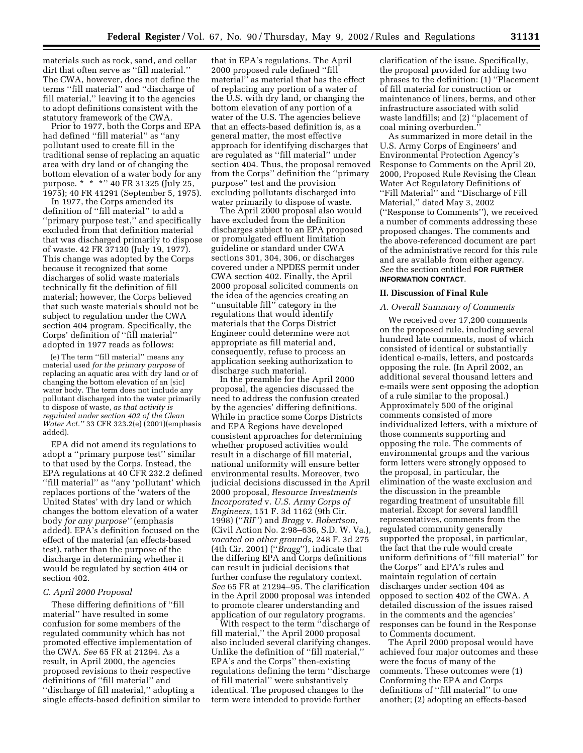materials such as rock, sand, and cellar dirt that often serve as ''fill material.'' The CWA, however, does not define the terms ''fill material'' and ''discharge of fill material,'' leaving it to the agencies to adopt definitions consistent with the statutory framework of the CWA.

Prior to 1977, both the Corps and EPA had defined ''fill material'' as ''any pollutant used to create fill in the traditional sense of replacing an aquatic area with dry land or of changing the bottom elevation of a water body for any purpose. \* \* \* \* '' 40 FR 31325 (July 25, 1975); 40 FR 41291 (September 5, 1975).

In 1977, the Corps amended its definition of ''fill material'' to add a ''primary purpose test,'' and specifically excluded from that definition material that was discharged primarily to dispose of waste. 42 FR 37130 (July 19, 1977). This change was adopted by the Corps because it recognized that some discharges of solid waste materials technically fit the definition of fill material; however, the Corps believed that such waste materials should not be subject to regulation under the CWA section 404 program. Specifically, the Corps' definition of ''fill material'' adopted in 1977 reads as follows:

(e) The term ''fill material'' means any material used *for the primary purpose* of replacing an aquatic area with dry land or of changing the bottom elevation of an [sic] water body. The term does not include any pollutant discharged into the water primarily to dispose of waste, *as that activity is regulated under section 402 of the Clean Water Act.''* 33 CFR 323.2(e) (2001)(emphasis added).

EPA did not amend its regulations to adopt a ''primary purpose test'' similar to that used by the Corps. Instead, the EPA regulations at 40 CFR 232.2 defined "fill material" as "any 'pollutant' which replaces portions of the 'waters of the United States' with dry land or which changes the bottom elevation of a water body *for any purpose''* (emphasis added). EPA's definition focused on the effect of the material (an effects-based test), rather than the purpose of the discharge in determining whether it would be regulated by section 404 or section 402.

#### *C. April 2000 Proposal*

These differing definitions of ''fill material'' have resulted in some confusion for some members of the regulated community which has not promoted effective implementation of the CWA. *See* 65 FR at 21294. As a result, in April 2000, the agencies proposed revisions to their respective definitions of ''fill material'' and ''discharge of fill material,'' adopting a single effects-based definition similar to

that in EPA's regulations. The April 2000 proposed rule defined ''fill material'' as material that has the effect of replacing any portion of a water of the U.S. with dry land, or changing the bottom elevation of any portion of a water of the U.S. The agencies believe that an effects-based definition is, as a general matter, the most effective approach for identifying discharges that are regulated as ''fill material'' under section 404. Thus, the proposal removed from the Corps'' definition the ''primary purpose'' test and the provision excluding pollutants discharged into water primarily to dispose of waste.

The April 2000 proposal also would have excluded from the definition discharges subject to an EPA proposed or promulgated effluent limitation guideline or standard under CWA sections 301, 304, 306, or discharges covered under a NPDES permit under CWA section 402. Finally, the April 2000 proposal solicited comments on the idea of the agencies creating an ''unsuitable fill'' category in the regulations that would identify materials that the Corps District Engineer could determine were not appropriate as fill material and, consequently, refuse to process an application seeking authorization to discharge such material.

In the preamble for the April 2000 proposal, the agencies discussed the need to address the confusion created by the agencies' differing definitions. While in practice some Corps Districts and EPA Regions have developed consistent approaches for determining whether proposed activities would result in a discharge of fill material, national uniformity will ensure better environmental results. Moreover, two judicial decisions discussed in the April 2000 proposal, *Resource Investments Incorporated* v. *U.S. Army Corps of Engineers*, 151 F. 3d 1162 (9th Cir. 1998) (''*RII*'') and *Bragg* v. *Robertson*, (Civil Action No. 2:98–636, S.D. W. Va.), *vacated on other grounds*, 248 F. 3d 275 (4th Cir. 2001) (''*Bragg*''), indicate that the differing EPA and Corps definitions can result in judicial decisions that further confuse the regulatory context. *See* 65 FR at 21294–95. The clarification in the April 2000 proposal was intended to promote clearer understanding and application of our regulatory programs.

With respect to the term ''discharge of fill material,'' the April 2000 proposal also included several clarifying changes. Unlike the definition of ''fill material,'' EPA's and the Corps'' then-existing regulations defining the term ''discharge of fill material'' were substantively identical. The proposed changes to the term were intended to provide further

clarification of the issue. Specifically, the proposal provided for adding two phrases to the definition: (1) ''Placement of fill material for construction or maintenance of liners, berms, and other infrastructure associated with solid waste landfills; and (2) ''placement of coal mining overburden.''

As summarized in more detail in the U.S. Army Corps of Engineers' and Environmental Protection Agency's Response to Comments on the April 20, 2000, Proposed Rule Revising the Clean Water Act Regulatory Definitions of ''Fill Material'' and ''Discharge of Fill Material,'' dated May 3, 2002 (''Response to Comments''), we received a number of comments addressing these proposed changes. The comments and the above-referenced document are part of the administrative record for this rule and are available from either agency. *See* the section entitled **FOR FURTHER INFORMATION CONTACT**.

#### **II. Discussion of Final Rule**

#### *A. Overall Summary of Comments*

We received over 17,200 comments on the proposed rule, including several hundred late comments, most of which consisted of identical or substantially identical e-mails, letters, and postcards opposing the rule. (In April 2002, an additional several thousand letters and e-mails were sent opposing the adoption of a rule similar to the proposal.) Approximately 500 of the original comments consisted of more individualized letters, with a mixture of those comments supporting and opposing the rule. The comments of environmental groups and the various form letters were strongly opposed to the proposal, in particular, the elimination of the waste exclusion and the discussion in the preamble regarding treatment of unsuitable fill material. Except for several landfill representatives, comments from the regulated community generally supported the proposal, in particular, the fact that the rule would create uniform definitions of ''fill material'' for the Corps'' and EPA's rules and maintain regulation of certain discharges under section 404 as opposed to section 402 of the CWA. A detailed discussion of the issues raised in the comments and the agencies' responses can be found in the Response to Comments document.

The April 2000 proposal would have achieved four major outcomes and these were the focus of many of the comments. These outcomes were (1) Conforming the EPA and Corps definitions of ''fill material'' to one another; (2) adopting an effects-based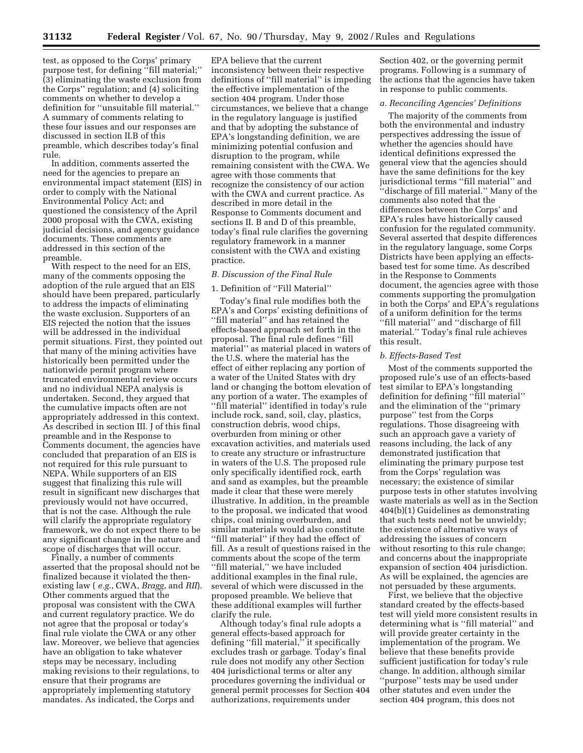test, as opposed to the Corps' primary purpose test, for defining ''fill material;'' (3) eliminating the waste exclusion from the Corps'' regulation; and (4) soliciting comments on whether to develop a definition for ''unsuitable fill material.'' A summary of comments relating to these four issues and our responses are discussed in section II.B of this preamble, which describes today's final rule.

In addition, comments asserted the need for the agencies to prepare an environmental impact statement (EIS) in order to comply with the National Environmental Policy Act; and questioned the consistency of the April 2000 proposal with the CWA, existing judicial decisions, and agency guidance documents. These comments are addressed in this section of the preamble.

With respect to the need for an EIS, many of the comments opposing the adoption of the rule argued that an EIS should have been prepared, particularly to address the impacts of eliminating the waste exclusion. Supporters of an EIS rejected the notion that the issues will be addressed in the individual permit situations. First, they pointed out that many of the mining activities have historically been permitted under the nationwide permit program where truncated environmental review occurs and no individual NEPA analysis is undertaken. Second, they argued that the cumulative impacts often are not appropriately addressed in this context. As described in section III. J of this final preamble and in the Response to Comments document, the agencies have concluded that preparation of an EIS is not required for this rule pursuant to NEPA. While supporters of an EIS suggest that finalizing this rule will result in significant new discharges that previously would not have occurred, that is not the case. Although the rule will clarify the appropriate regulatory framework, we do not expect there to be any significant change in the nature and scope of discharges that will occur.

Finally, a number of comments asserted that the proposal should not be finalized because it violated the thenexisting law ( *e.g.*, CWA, *Bragg*, and *RII*). Other comments argued that the proposal was consistent with the CWA and current regulatory practice. We do not agree that the proposal or today's final rule violate the CWA or any other law. Moreover, we believe that agencies have an obligation to take whatever steps may be necessary, including making revisions to their regulations, to ensure that their programs are appropriately implementing statutory mandates. As indicated, the Corps and

EPA believe that the current inconsistency between their respective definitions of ''fill material'' is impeding the effective implementation of the section 404 program. Under those circumstances, we believe that a change in the regulatory language is justified and that by adopting the substance of EPA's longstanding definition, we are minimizing potential confusion and disruption to the program, while remaining consistent with the CWA. We agree with those comments that recognize the consistency of our action with the CWA and current practice. As described in more detail in the Response to Comments document and sections II. B and D of this preamble, today's final rule clarifies the governing regulatory framework in a manner consistent with the CWA and existing practice.

#### *B. Discussion of the Final Rule*

#### 1. Definition of ''Fill Material''

Today's final rule modifies both the EPA's and Corps' existing definitions of ''fill material'' and has retained the effects-based approach set forth in the proposal. The final rule defines ''fill material'' as material placed in waters of the U.S. where the material has the effect of either replacing any portion of a water of the United States with dry land or changing the bottom elevation of any portion of a water. The examples of ''fill material'' identified in today's rule include rock, sand, soil, clay, plastics, construction debris, wood chips, overburden from mining or other excavation activities, and materials used to create any structure or infrastructure in waters of the U.S. The proposed rule only specifically identified rock, earth and sand as examples, but the preamble made it clear that these were merely illustrative. In addition, in the preamble to the proposal, we indicated that wood chips, coal mining overburden, and similar materials would also constitute ''fill material'' if they had the effect of fill. As a result of questions raised in the comments about the scope of the term ''fill material,'' we have included additional examples in the final rule, several of which were discussed in the proposed preamble. We believe that these additional examples will further clarify the rule.

Although today's final rule adopts a general effects-based approach for defining ''fill material,'' it specifically excludes trash or garbage. Today's final rule does not modify any other Section 404 jurisdictional terms or alter any procedures governing the individual or general permit processes for Section 404 authorizations, requirements under

Section 402, or the governing permit programs. Following is a summary of the actions that the agencies have taken in response to public comments.

# *a. Reconciling Agencies' Definitions*

The majority of the comments from both the environmental and industry perspectives addressing the issue of whether the agencies should have identical definitions expressed the general view that the agencies should have the same definitions for the key jurisdictional terms ''fill material'' and ''discharge of fill material.'' Many of the comments also noted that the differences between the Corps' and EPA's rules have historically caused confusion for the regulated community. Several asserted that despite differences in the regulatory language, some Corps Districts have been applying an effectsbased test for some time. As described in the Response to Comments document, the agencies agree with those comments supporting the promulgation in both the Corps' and EPA's regulations of a uniform definition for the terms ''fill material'' and ''discharge of fill material.'' Today's final rule achieves this result.

### *b. Effects-Based Test*

Most of the comments supported the proposed rule's use of an effects-based test similar to EPA's longstanding definition for defining ''fill material'' and the elimination of the ''primary purpose'' test from the Corps regulations. Those disagreeing with such an approach gave a variety of reasons including, the lack of any demonstrated justification that eliminating the primary purpose test from the Corps' regulation was necessary; the existence of similar purpose tests in other statutes involving waste materials as well as in the Section 404(b)(1) Guidelines as demonstrating that such tests need not be unwieldy; the existence of alternative ways of addressing the issues of concern without resorting to this rule change; and concerns about the inappropriate expansion of section 404 jurisdiction. As will be explained, the agencies are not persuaded by these arguments.

First, we believe that the objective standard created by the effects-based test will yield more consistent results in determining what is ''fill material'' and will provide greater certainty in the implementation of the program. We believe that these benefits provide sufficient justification for today's rule change. In addition, although similar ''purpose'' tests may be used under other statutes and even under the section 404 program, this does not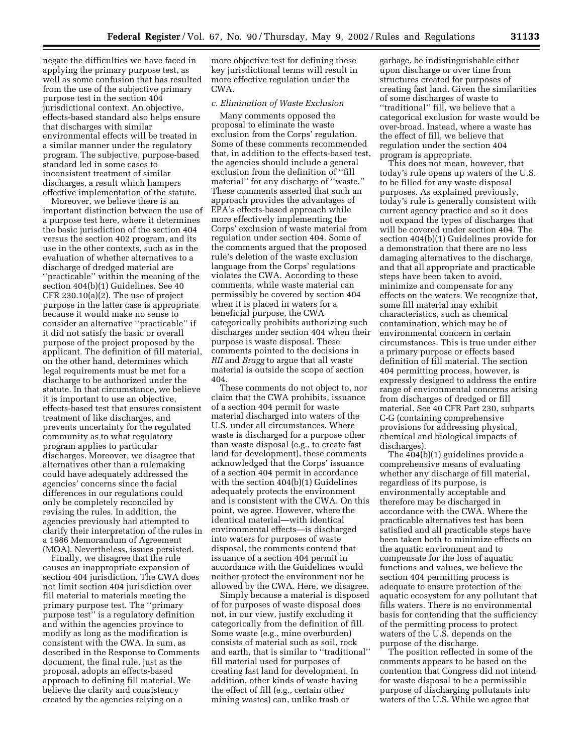negate the difficulties we have faced in applying the primary purpose test, as well as some confusion that has resulted from the use of the subjective primary purpose test in the section 404 jurisdictional context. An objective, effects-based standard also helps ensure that discharges with similar environmental effects will be treated in a similar manner under the regulatory program. The subjective, purpose-based standard led in some cases to inconsistent treatment of similar discharges, a result which hampers effective implementation of the statute.

Moreover, we believe there is an important distinction between the use of a purpose test here, where it determines the basic jurisdiction of the section 404 versus the section 402 program, and its use in the other contexts, such as in the evaluation of whether alternatives to a discharge of dredged material are ''practicable'' within the meaning of the section 404(b)(1) Guidelines. See 40 CFR 230.10(a)(2). The use of project purpose in the latter case is appropriate because it would make no sense to consider an alternative ''practicable'' if it did not satisfy the basic or overall purpose of the project proposed by the applicant. The definition of fill material, on the other hand, determines which legal requirements must be met for a discharge to be authorized under the statute. In that circumstance, we believe it is important to use an objective, effects-based test that ensures consistent treatment of like discharges, and prevents uncertainty for the regulated community as to what regulatory program applies to particular discharges. Moreover, we disagree that alternatives other than a rulemaking could have adequately addressed the agencies' concerns since the facial differences in our regulations could only be completely reconciled by revising the rules. In addition, the agencies previously had attempted to clarify their interpretation of the rules in a 1986 Memorandum of Agreement (MOA). Nevertheless, issues persisted.

Finally, we disagree that the rule causes an inappropriate expansion of section 404 jurisdiction. The CWA does not limit section 404 jurisdiction over fill material to materials meeting the primary purpose test. The ''primary purpose test'' is a regulatory definition and within the agencies province to modify as long as the modification is consistent with the CWA. In sum, as described in the Response to Comments document, the final rule, just as the proposal, adopts an effects-based approach to defining fill material. We believe the clarity and consistency created by the agencies relying on a

more objective test for defining these key jurisdictional terms will result in more effective regulation under the CWA.

### *c. Elimination of Waste Exclusion*

Many comments opposed the proposal to eliminate the waste exclusion from the Corps' regulation. Some of these comments recommended that, in addition to the effects-based test, the agencies should include a general exclusion from the definition of ''fill material'' for any discharge of ''waste.'' These comments asserted that such an approach provides the advantages of EPA's effects-based approach while more effectively implementing the Corps' exclusion of waste material from regulation under section 404. Some of the comments argued that the proposed rule's deletion of the waste exclusion language from the Corps' regulations violates the CWA. According to these comments, while waste material can permissibly be covered by section 404 when it is placed in waters for a beneficial purpose, the CWA categorically prohibits authorizing such discharges under section 404 when their purpose is waste disposal. These comments pointed to the decisions in *RII* and *Bragg* to argue that all waste material is outside the scope of section 404.

These comments do not object to, nor claim that the CWA prohibits, issuance of a section 404 permit for waste material discharged into waters of the U.S. under all circumstances. Where waste is discharged for a purpose other than waste disposal (e.g., to create fast land for development), these comments acknowledged that the Corps' issuance of a section 404 permit in accordance with the section 404(b)(1) Guidelines adequately protects the environment and is consistent with the CWA. On this point, we agree. However, where the identical material—with identical environmental effects—is discharged into waters for purposes of waste disposal, the comments contend that issuance of a section 404 permit in accordance with the Guidelines would neither protect the environment nor be allowed by the CWA. Here, we disagree.

Simply because a material is disposed of for purposes of waste disposal does not, in our view, justify excluding it categorically from the definition of fill. Some waste (e.g., mine overburden) consists of material such as soil, rock and earth, that is similar to ''traditional'' fill material used for purposes of creating fast land for development. In addition, other kinds of waste having the effect of fill (e.g., certain other mining wastes) can, unlike trash or

garbage, be indistinguishable either upon discharge or over time from structures created for purposes of creating fast land. Given the similarities of some discharges of waste to ''traditional'' fill, we believe that a categorical exclusion for waste would be over-broad. Instead, where a waste has the effect of fill, we believe that regulation under the section 404 program is appropriate.

This does not mean, however, that today's rule opens up waters of the U.S. to be filled for any waste disposal purposes. As explained previously, today's rule is generally consistent with current agency practice and so it does not expand the types of discharges that will be covered under section 404. The section 404(b)(1) Guidelines provide for a demonstration that there are no less damaging alternatives to the discharge, and that all appropriate and practicable steps have been taken to avoid, minimize and compensate for any effects on the waters. We recognize that, some fill material may exhibit characteristics, such as chemical contamination, which may be of environmental concern in certain circumstances. This is true under either a primary purpose or effects based definition of fill material. The section 404 permitting process, however, is expressly designed to address the entire range of environmental concerns arising from discharges of dredged or fill material. See 40 CFR Part 230, subparts C-G (containing comprehensive provisions for addressing physical, chemical and biological impacts of discharges).

The 404(b)(1) guidelines provide a comprehensive means of evaluating whether any discharge of fill material, regardless of its purpose, is environmentally acceptable and therefore may be discharged in accordance with the CWA. Where the practicable alternatives test has been satisfied and all practicable steps have been taken both to minimize effects on the aquatic environment and to compensate for the loss of aquatic functions and values, we believe the section 404 permitting process is adequate to ensure protection of the aquatic ecosystem for any pollutant that fills waters. There is no environmental basis for contending that the sufficiency of the permitting process to protect waters of the U.S. depends on the purpose of the discharge.

The position reflected in some of the comments appears to be based on the contention that Congress did not intend for waste disposal to be a permissible purpose of discharging pollutants into waters of the U.S. While we agree that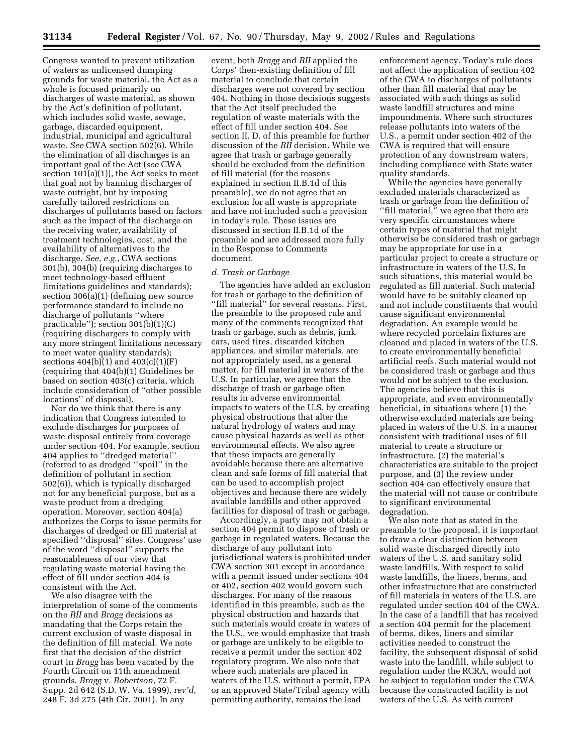Congress wanted to prevent utilization of waters as unlicensed dumping grounds for waste material, the Act as a whole is focused primarily on discharges of waste material, as shown by the Act's definition of pollutant, which includes solid waste, sewage, garbage, discarded equipment, industrial, municipal and agricultural waste. *See* CWA section 502(6). While the elimination of all discharges is an important goal of the Act (*see* CWA section 101(a)(1)), the Act seeks to meet that goal not by banning discharges of waste outright, but by imposing carefully tailored restrictions on discharges of pollutants based on factors such as the impact of the discharge on the receiving water, availability of treatment technologies, cost, and the availability of alternatives to the discharge. *See, e.g.*, CWA sections 301(b), 304(b) (requiring discharges to meet technology-based effluent limitations guidelines and standards); section 306(a)(1) (defining new source performance standard to include no discharge of pollutants ''where practicable''); section 301(b)(1)(C) (requiring dischargers to comply with any more stringent limitations necessary to meet water quality standards); sections 404(b)(1) and 403(c)(1)(F) (requiring that 404(b)(1) Guidelines be based on section 403(c) criteria, which include consideration of ''other possible locations'' of disposal).

Nor do we think that there is any indication that Congress intended to exclude discharges for purposes of waste disposal entirely from coverage under section 404. For example, section 404 applies to ''dredged material'' (referred to as dredged ''spoil'' in the definition of pollutant in section 502(6)), which is typically discharged not for any beneficial purpose, but as a waste product from a dredging operation. Moreover, section 404(a) authorizes the Corps to issue permits for discharges of dredged or fill material at specified ''disposal'' sites. Congress' use of the word ''disposal'' supports the reasonableness of our view that regulating waste material having the effect of fill under section 404 is consistent with the Act.

We also disagree with the interpretation of some of the comments on the *RII* and *Bragg* decisions as mandating that the Corps retain the current exclusion of waste disposal in the definition of fill material. We note first that the decision of the district court in *Bragg* has been vacated by the Fourth Circuit on 11th amendment grounds. *Bragg* v. *Robertson*, 72 F. Supp. 2d 642 (S.D. W. Va. 1999), *rev'd*, 248 F. 3d 275 (4th Cir. 2001). In any

event, both *Bragg* and *RII* applied the Corps' then-existing definition of fill material to conclude that certain discharges were not covered by section 404. Nothing in those decisions suggests that the Act itself precluded the regulation of waste materials with the effect of fill under section 404. See section II. D. of this preamble for further discussion of the *RII* decision. While we agree that trash or garbage generally should be excluded from the definition of fill material (for the reasons explained in section II.B.1d of this preamble), we do not agree that an exclusion for all waste is appropriate and have not included such a provision in today's rule. These issues are discussed in section II.B.1d of the preamble and are addressed more fully in the Response to Comments document.

#### *d. Trash or Garbage*

The agencies have added an exclusion for trash or garbage to the definition of "fill material" for several reasons. First, the preamble to the proposed rule and many of the comments recognized that trash or garbage, such as debris, junk cars, used tires, discarded kitchen appliances, and similar materials, are not appropriately used, as a general matter, for fill material in waters of the U.S. In particular, we agree that the discharge of trash or garbage often results in adverse environmental impacts to waters of the U.S. by creating physical obstructions that alter the natural hydrology of waters and may cause physical hazards as well as other environmental effects. We also agree that these impacts are generally avoidable because there are alternative clean and safe forms of fill material that can be used to accomplish project objectives and because there are widely available landfills and other approved facilities for disposal of trash or garbage.

Accordingly, a party may not obtain a section 404 permit to dispose of trash or garbage in regulated waters. Because the discharge of any pollutant into jurisdictional waters is prohibited under CWA section 301 except in accordance with a permit issued under sections 404 or 402, section 402 would govern such discharges. For many of the reasons identified in this preamble, such as the physical obstruction and hazards that such materials would create in waters of the U.S., we would emphasize that trash or garbage are unlikely to be eligible to receive a permit under the section 402 regulatory program. We also note that where such materials are placed in waters of the U.S. without a permit, EPA or an approved State/Tribal agency with permitting authority, remains the lead

enforcement agency. Today's rule does not affect the application of section 402 of the CWA to discharges of pollutants other than fill material that may be associated with such things as solid waste landfill structures and mine impoundments. Where such structures release pollutants into waters of the U.S., a permit under section 402 of the CWA is required that will ensure protection of any downstream waters, including compliance with State water quality standards.

While the agencies have generally excluded materials characterized as trash or garbage from the definition of ''fill material,'' we agree that there are very specific circumstances where certain types of material that might otherwise be considered trash or garbage may be appropriate for use in a particular project to create a structure or infrastructure in waters of the U.S. In such situations, this material would be regulated as fill material. Such material would have to be suitably cleaned up and not include constituents that would cause significant environmental degradation. An example would be where recycled porcelain fixtures are cleaned and placed in waters of the U.S. to create environmentally beneficial artificial reefs. Such material would not be considered trash or garbage and thus would not be subject to the exclusion. The agencies believe that this is appropriate, and even environmentally beneficial, in situations where (1) the otherwise excluded materials are being placed in waters of the U.S. in a manner consistent with traditional uses of fill material to create a structure or infrastructure, (2) the material's characteristics are suitable to the project purpose, and (3) the review under section 404 can effectively ensure that the material will not cause or contribute to significant environmental degradation.

We also note that as stated in the preamble to the proposal, it is important to draw a clear distinction between solid waste discharged directly into waters of the U.S. and sanitary solid waste landfills. With respect to solid waste landfills, the liners, berms, and other infrastructure that are constructed of fill materials in waters of the U.S. are regulated under section 404 of the CWA. In the case of a landfill that has received a section 404 permit for the placement of berms, dikes, liners and similar activities needed to construct the facility, the subsequent disposal of solid waste into the landfill, while subject to regulation under the RCRA, would not be subject to regulation under the CWA because the constructed facility is not waters of the U.S. As with current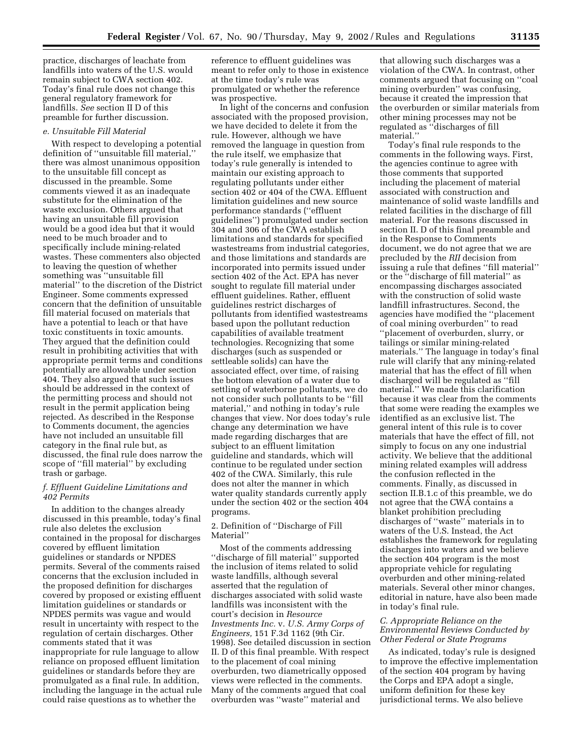practice, discharges of leachate from landfills into waters of the U.S. would remain subject to CWA section 402. Today's final rule does not change this general regulatory framework for landfills. *See* section II D of this preamble for further discussion.

# *e. Unsuitable Fill Material*

With respect to developing a potential definition of ''unsuitable fill material,'' there was almost unanimous opposition to the unsuitable fill concept as discussed in the preamble. Some comments viewed it as an inadequate substitute for the elimination of the waste exclusion. Others argued that having an unsuitable fill provision would be a good idea but that it would need to be much broader and to specifically include mining-related wastes. These commenters also objected to leaving the question of whether something was ''unsuitable fill material'' to the discretion of the District Engineer. Some comments expressed concern that the definition of unsuitable fill material focused on materials that have a potential to leach or that have toxic constituents in toxic amounts. They argued that the definition could result in prohibiting activities that with appropriate permit terms and conditions potentially are allowable under section 404. They also argued that such issues should be addressed in the context of the permitting process and should not result in the permit application being rejected. As described in the Response to Comments document, the agencies have not included an unsuitable fill category in the final rule but, as discussed, the final rule does narrow the scope of ''fill material'' by excluding trash or garbage.

### *f. Effluent Guideline Limitations and 402 Permits*

In addition to the changes already discussed in this preamble, today's final rule also deletes the exclusion contained in the proposal for discharges covered by effluent limitation guidelines or standards or NPDES permits. Several of the comments raised concerns that the exclusion included in the proposed definition for discharges covered by proposed or existing effluent limitation guidelines or standards or NPDES permits was vague and would result in uncertainty with respect to the regulation of certain discharges. Other comments stated that it was inappropriate for rule language to allow reliance on proposed effluent limitation guidelines or standards before they are promulgated as a final rule. In addition, including the language in the actual rule could raise questions as to whether the

reference to effluent guidelines was meant to refer only to those in existence at the time today's rule was promulgated or whether the reference was prospective.

In light of the concerns and confusion associated with the proposed provision, we have decided to delete it from the rule. However, although we have removed the language in question from the rule itself, we emphasize that today's rule generally is intended to maintain our existing approach to regulating pollutants under either section 402 or 404 of the CWA. Effluent limitation guidelines and new source performance standards (''effluent guidelines'') promulgated under section 304 and 306 of the CWA establish limitations and standards for specified wastestreams from industrial categories, and those limitations and standards are incorporated into permits issued under section 402 of the Act. EPA has never sought to regulate fill material under effluent guidelines. Rather, effluent guidelines restrict discharges of pollutants from identified wastestreams based upon the pollutant reduction capabilities of available treatment technologies. Recognizing that some discharges (such as suspended or settleable solids) can have the associated effect, over time, of raising the bottom elevation of a water due to settling of waterborne pollutants, we do not consider such pollutants to be ''fill material,'' and nothing in today's rule changes that view. Nor does today's rule change any determination we have made regarding discharges that are subject to an effluent limitation guideline and standards, which will continue to be regulated under section 402 of the CWA. Similarly, this rule does not alter the manner in which water quality standards currently apply under the section 402 or the section 404 programs.

2. Definition of ''Discharge of Fill Material''

Most of the comments addressing ''discharge of fill material'' supported the inclusion of items related to solid waste landfills, although several asserted that the regulation of discharges associated with solid waste landfills was inconsistent with the court's decision in *Resource Investments Inc.* v. *U.S. Army Corps of Engineers,* 151 F.3d 1162 (9th Cir. 1998). See detailed discussion in section II. D of this final preamble. With respect to the placement of coal mining overburden, two diametrically opposed views were reflected in the comments. Many of the comments argued that coal overburden was ''waste'' material and

that allowing such discharges was a violation of the CWA. In contrast, other comments argued that focusing on ''coal mining overburden'' was confusing, because it created the impression that the overburden or similar materials from other mining processes may not be regulated as ''discharges of fill material.''

Today's final rule responds to the comments in the following ways. First, the agencies continue to agree with those comments that supported including the placement of material associated with construction and maintenance of solid waste landfills and related facilities in the discharge of fill material. For the reasons discussed in section II. D of this final preamble and in the Response to Comments document, we do not agree that we are precluded by the *RII* decision from issuing a rule that defines ''fill material'' or the ''discharge of fill material'' as encompassing discharges associated with the construction of solid waste landfill infrastructures. Second, the agencies have modified the ''placement of coal mining overburden'' to read ''placement of overburden, slurry, or tailings or similar mining-related materials.'' The language in today's final rule will clarify that any mining-related material that has the effect of fill when discharged will be regulated as ''fill material.'' We made this clarification because it was clear from the comments that some were reading the examples we identified as an exclusive list. The general intent of this rule is to cover materials that have the effect of fill, not simply to focus on any one industrial activity. We believe that the additional mining related examples will address the confusion reflected in the comments. Finally, as discussed in section II.B.1.c of this preamble, we do not agree that the CWA contains a blanket prohibition precluding discharges of ''waste'' materials in to waters of the U.S. Instead, the Act establishes the framework for regulating discharges into waters and we believe the section 404 program is the most appropriate vehicle for regulating overburden and other mining-related materials. Several other minor changes, editorial in nature, have also been made in today's final rule.

# *C. Appropriate Reliance on the Environmental Reviews Conducted by Other Federal or State Programs*

As indicated, today's rule is designed to improve the effective implementation of the section 404 program by having the Corps and EPA adopt a single, uniform definition for these key jurisdictional terms. We also believe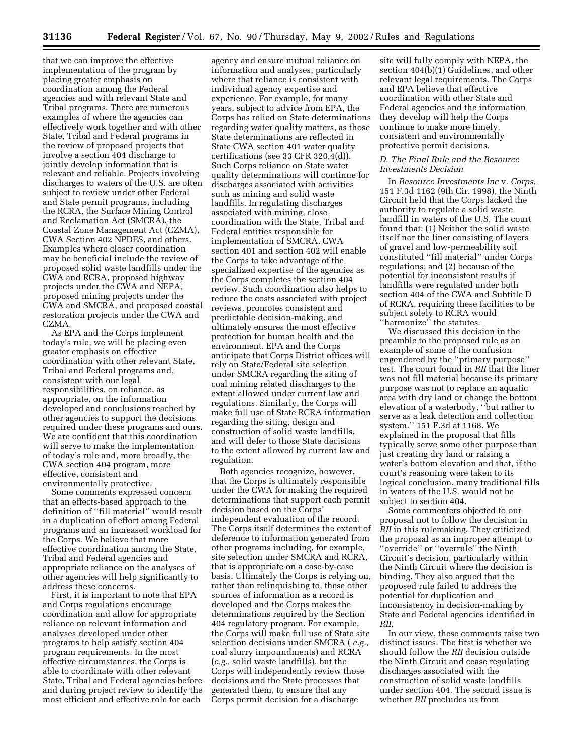that we can improve the effective implementation of the program by placing greater emphasis on coordination among the Federal agencies and with relevant State and Tribal programs. There are numerous examples of where the agencies can effectively work together and with other State, Tribal and Federal programs in the review of proposed projects that involve a section 404 discharge to jointly develop information that is relevant and reliable. Projects involving discharges to waters of the U.S. are often subject to review under other Federal and State permit programs, including the RCRA, the Surface Mining Control and Reclamation Act (SMCRA), the Coastal Zone Management Act (CZMA), CWA Section 402 NPDES, and others. Examples where closer coordination may be beneficial include the review of proposed solid waste landfills under the CWA and RCRA, proposed highway projects under the CWA and NEPA, proposed mining projects under the CWA and SMCRA, and proposed coastal restoration projects under the CWA and CZMA.

As EPA and the Corps implement today's rule, we will be placing even greater emphasis on effective coordination with other relevant State, Tribal and Federal programs and, consistent with our legal responsibilities, on reliance, as appropriate, on the information developed and conclusions reached by other agencies to support the decisions required under these programs and ours. We are confident that this coordination will serve to make the implementation of today's rule and, more broadly, the CWA section 404 program, more effective, consistent and environmentally protective.

Some comments expressed concern that an effects-based approach to the definition of ''fill material'' would result in a duplication of effort among Federal programs and an increased workload for the Corps. We believe that more effective coordination among the State, Tribal and Federal agencies and appropriate reliance on the analyses of other agencies will help significantly to address these concerns.

First, it is important to note that EPA and Corps regulations encourage coordination and allow for appropriate reliance on relevant information and analyses developed under other programs to help satisfy section 404 program requirements. In the most effective circumstances, the Corps is able to coordinate with other relevant State, Tribal and Federal agencies before and during project review to identify the most efficient and effective role for each

agency and ensure mutual reliance on information and analyses, particularly where that reliance is consistent with individual agency expertise and experience. For example, for many years, subject to advice from EPA, the Corps has relied on State determinations regarding water quality matters, as those State determinations are reflected in State CWA section 401 water quality certifications (see 33 CFR  $320.4(d)$ ). Such Corps reliance on State water quality determinations will continue for discharges associated with activities such as mining and solid waste landfills. In regulating discharges associated with mining, close coordination with the State, Tribal and Federal entities responsible for implementation of SMCRA, CWA section 401 and section 402 will enable the Corps to take advantage of the specialized expertise of the agencies as the Corps completes the section 404 review. Such coordination also helps to reduce the costs associated with project reviews, promotes consistent and predictable decision-making, and ultimately ensures the most effective protection for human health and the environment. EPA and the Corps anticipate that Corps District offices will rely on State/Federal site selection under SMCRA regarding the siting of coal mining related discharges to the extent allowed under current law and regulations. Similarly, the Corps will make full use of State RCRA information regarding the siting, design and construction of solid waste landfills, and will defer to those State decisions to the extent allowed by current law and regulation.

Both agencies recognize, however, that the Corps is ultimately responsible under the CWA for making the required determinations that support each permit decision based on the Corps' independent evaluation of the record. The Corps itself determines the extent of deference to information generated from other programs including, for example, site selection under SMCRA and RCRA, that is appropriate on a case-by-case basis. Ultimately the Corps is relying on, rather than relinquishing to, these other sources of information as a record is developed and the Corps makes the determinations required by the Section 404 regulatory program. For example, the Corps will make full use of State site selection decisions under SMCRA ( *e.g.,* coal slurry impoundments) and RCRA (*e.g.,* solid waste landfills), but the Corps will independently review those decisions and the State processes that generated them, to ensure that any Corps permit decision for a discharge

site will fully comply with NEPA, the section 404(b)(1) Guidelines, and other relevant legal requirements. The Corps and EPA believe that effective coordination with other State and Federal agencies and the information they develop will help the Corps continue to make more timely, consistent and environmentally protective permit decisions.

#### *D. The Final Rule and the Resource Investments Decision*

In *Resource Investments Inc* v. *Corps,* 151 F.3d 1162 (9th Cir. 1998), the Ninth Circuit held that the Corps lacked the authority to regulate a solid waste landfill in waters of the U.S. The court found that: (1) Neither the solid waste itself nor the liner consisting of layers of gravel and low-permeability soil constituted ''fill material'' under Corps regulations; and (2) because of the potential for inconsistent results if landfills were regulated under both section 404 of the CWA and Subtitle D of RCRA, requiring these facilities to be subject solely to RCRA would ''harmonize'' the statutes.

We discussed this decision in the preamble to the proposed rule as an example of some of the confusion engendered by the ''primary purpose'' test. The court found in *RII* that the liner was not fill material because its primary purpose was not to replace an aquatic area with dry land or change the bottom elevation of a waterbody, ''but rather to serve as a leak detection and collection system.'' 151 F.3d at 1168. We explained in the proposal that fills typically serve some other purpose than just creating dry land or raising a water's bottom elevation and that, if the court's reasoning were taken to its logical conclusion, many traditional fills in waters of the U.S. would not be subject to section 404.

Some commenters objected to our proposal not to follow the decision in *RII* in this rulemaking. They criticized the proposal as an improper attempt to ''override'' or ''overrule'' the Ninth Circuit's decision, particularly within the Ninth Circuit where the decision is binding. They also argued that the proposed rule failed to address the potential for duplication and inconsistency in decision-making by State and Federal agencies identified in *RII.*

In our view, these comments raise two distinct issues. The first is whether we should follow the *RII* decision outside the Ninth Circuit and cease regulating discharges associated with the construction of solid waste landfills under section 404. The second issue is whether *RII* precludes us from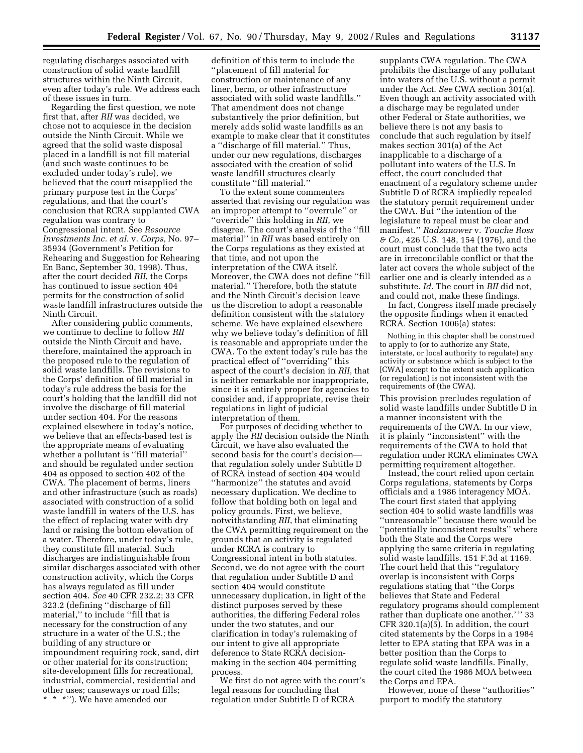regulating discharges associated with construction of solid waste landfill structures within the Ninth Circuit, even after today's rule. We address each of these issues in turn.

Regarding the first question, we note first that, after *RII* was decided, we chose not to acquiesce in the decision outside the Ninth Circuit. While we agreed that the solid waste disposal placed in a landfill is not fill material (and such waste continues to be excluded under today's rule), we believed that the court misapplied the primary purpose test in the Corps' regulations, and that the court's conclusion that RCRA supplanted CWA regulation was contrary to Congressional intent. See *Resource Investments Inc. et al.* v. *Corps,* No. 97– 35934 (Government's Petition for Rehearing and Suggestion for Rehearing En Banc, September 30, 1998). Thus, after the court decided *RII*, the Corps has continued to issue section 404 permits for the construction of solid waste landfill infrastructures outside the Ninth Circuit.

After considering public comments, we continue to decline to follow *RII* outside the Ninth Circuit and have, therefore, maintained the approach in the proposed rule to the regulation of solid waste landfills. The revisions to the Corps' definition of fill material in today's rule address the basis for the court's holding that the landfill did not involve the discharge of fill material under section 404. For the reasons explained elsewhere in today's notice, we believe that an effects-based test is the appropriate means of evaluating whether a pollutant is ''fill material'' and should be regulated under section 404 as opposed to section 402 of the CWA. The placement of berms, liners and other infrastructure (such as roads) associated with construction of a solid waste landfill in waters of the U.S. has the effect of replacing water with dry land or raising the bottom elevation of a water. Therefore, under today's rule, they constitute fill material. Such discharges are indistinguishable from similar discharges associated with other construction activity, which the Corps has always regulated as fill under section 404. *See* 40 CFR 232.2; 33 CFR 323.2 (defining ''discharge of fill material,'' to include ''fill that is necessary for the construction of any structure in a water of the U.S.; the building of any structure or impoundment requiring rock, sand, dirt or other material for its construction; site-development fills for recreational, industrial, commercial, residential and other uses; causeways or road fills; \*\*\*''). We have amended our

definition of this term to include the ''placement of fill material for construction or maintenance of any liner, berm, or other infrastructure associated with solid waste landfills.'' That amendment does not change substantively the prior definition, but merely adds solid waste landfills as an example to make clear that it constitutes a ''discharge of fill material.'' Thus, under our new regulations, discharges associated with the creation of solid waste landfill structures clearly constitute ''fill material.''

To the extent some commenters asserted that revising our regulation was an improper attempt to ''overrule'' or ''override'' this holding in *RII*, we disagree. The court's analysis of the ''fill material'' in *RII* was based entirely on the Corps regulations as they existed at that time, and not upon the interpretation of the CWA itself. Moreover, the CWA does not define ''fill material.'' Therefore, both the statute and the Ninth Circuit's decision leave us the discretion to adopt a reasonable definition consistent with the statutory scheme. We have explained elsewhere why we believe today's definition of fill is reasonable and appropriate under the CWA. To the extent today's rule has the practical effect of ''overriding'' this aspect of the court's decision in *RII*, that is neither remarkable nor inappropriate, since it is entirely proper for agencies to consider and, if appropriate, revise their regulations in light of judicial interpretation of them.

For purposes of deciding whether to apply the *RII* decision outside the Ninth Circuit, we have also evaluated the second basis for the court's decision that regulation solely under Subtitle D of RCRA instead of section 404 would ''harmonize'' the statutes and avoid necessary duplication. We decline to follow that holding both on legal and policy grounds. First, we believe, notwithstanding *RII*, that eliminating the CWA permitting requirement on the grounds that an activity is regulated under RCRA is contrary to Congressional intent in both statutes. Second, we do not agree with the court that regulation under Subtitle D and section 404 would constitute unnecessary duplication, in light of the distinct purposes served by these authorities, the differing Federal roles under the two statutes, and our clarification in today's rulemaking of our intent to give all appropriate deference to State RCRA decisionmaking in the section 404 permitting process.

We first do not agree with the court's legal reasons for concluding that regulation under Subtitle D of RCRA

supplants CWA regulation. The CWA prohibits the discharge of any pollutant into waters of the U.S. without a permit under the Act. *See* CWA section 301(a). Even though an activity associated with a discharge may be regulated under other Federal or State authorities, we believe there is not any basis to conclude that such regulation by itself makes section 301(a) of the Act inapplicable to a discharge of a pollutant into waters of the U.S. In effect, the court concluded that enactment of a regulatory scheme under Subtitle D of RCRA impliedly repealed the statutory permit requirement under the CWA. But ''the intention of the legislature to repeal must be clear and manifest.'' *Radzanower* v. *Touche Ross & Co.,* 426 U.S. 148, 154 (1976), and the court must conclude that the two acts are in irreconcilable conflict or that the later act covers the whole subject of the earlier one and is clearly intended as a substitute. *Id.* The court in *RII* did not, and could not, make these findings.

In fact, Congress itself made precisely the opposite findings when it enacted RCRA. Section 1006(a) states:

Nothing in this chapter shall be construed to apply to (or to authorize any State, interstate, or local authority to regulate) any activity or substance which is subject to the [CWA] except to the extent such application (or regulation) is not inconsistent with the requirements of (the CWA).

This provision precludes regulation of solid waste landfills under Subtitle D in a manner inconsistent with the requirements of the CWA. In our view, it is plainly ''inconsistent'' with the requirements of the CWA to hold that regulation under RCRA eliminates CWA permitting requirement altogether.

Instead, the court relied upon certain Corps regulations, statements by Corps officials and a 1986 interagency MOA. The court first stated that applying section 404 to solid waste landfills was ''unreasonable'' because there would be ''potentially inconsistent results'' where both the State and the Corps were applying the same criteria in regulating solid waste landfills. 151 F.3d at 1169. The court held that this ''regulatory overlap is inconsistent with Corps regulations stating that ''the Corps believes that State and Federal regulatory programs should complement rather than duplicate one another.' '' 33 CFR 320.1(a)(5). In addition, the court cited statements by the Corps in a 1984 letter to EPA stating that EPA was in a better position than the Corps to regulate solid waste landfills. Finally, the court cited the 1986 MOA between the Corps and EPA.

However, none of these ''authorities'' purport to modify the statutory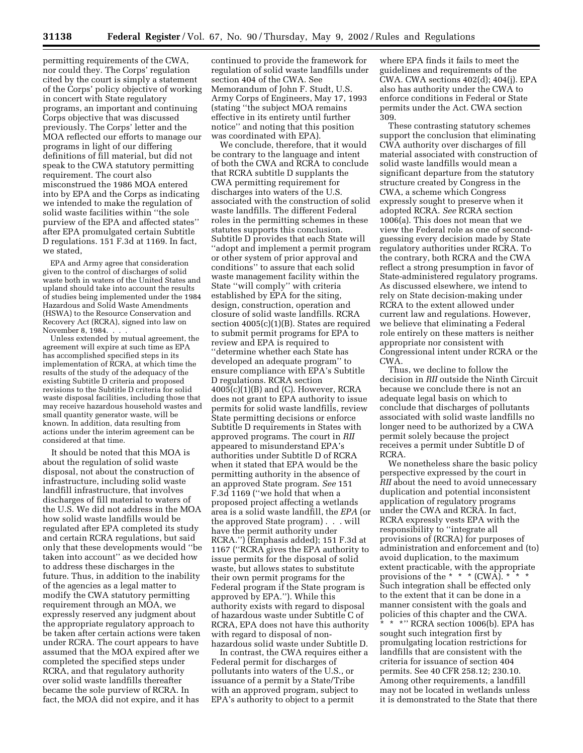permitting requirements of the CWA, nor could they. The Corps' regulation cited by the court is simply a statement of the Corps' policy objective of working in concert with State regulatory programs, an important and continuing Corps objective that was discussed previously. The Corps' letter and the MOA reflected our efforts to manage our programs in light of our differing definitions of fill material, but did not speak to the CWA statutory permitting requirement. The court also misconstrued the 1986 MOA entered into by EPA and the Corps as indicating we intended to make the regulation of solid waste facilities within ''the sole purview of the EPA and affected states'' after EPA promulgated certain Subtitle D regulations. 151 F.3d at 1169. In fact, we stated,

EPA and Army agree that consideration given to the control of discharges of solid waste both in waters of the United States and upland should take into account the results of studies being implemented under the 1984 Hazardous and Solid Waste Amendments (HSWA) to the Resource Conservation and Recovery Act (RCRA), signed into law on November 8, 1984. . . .

Unless extended by mutual agreement, the agreement will expire at such time as EPA has accomplished specified steps in its implementation of RCRA, at which time the results of the study of the adequacy of the existing Subtitle D criteria and proposed revisions to the Subtitle D criteria for solid waste disposal facilities, including those that may receive hazardous household wastes and small quantity generator waste, will be known. In addition, data resulting from actions under the interim agreement can be considered at that time.

It should be noted that this MOA is about the regulation of solid waste disposal, not about the construction of infrastructure, including solid waste landfill infrastructure, that involves discharges of fill material to waters of the U.S. We did not address in the MOA how solid waste landfills would be regulated after EPA completed its study and certain RCRA regulations, but said only that these developments would ''be taken into account'' as we decided how to address these discharges in the future. Thus, in addition to the inability of the agencies as a legal matter to modify the CWA statutory permitting requirement through an MOA, we expressly reserved any judgment about the appropriate regulatory approach to be taken after certain actions were taken under RCRA. The court appears to have assumed that the MOA expired after we completed the specified steps under RCRA, and that regulatory authority over solid waste landfills thereafter became the sole purview of RCRA. In fact, the MOA did not expire, and it has

continued to provide the framework for regulation of solid waste landfills under section 404 of the CWA. See Memorandum of John F. Studt, U.S. Army Corps of Engineers, May 17, 1993 (stating ''the subject MOA remains effective in its entirety until further notice'' and noting that this position was coordinated with EPA).

We conclude, therefore, that it would be contrary to the language and intent of both the CWA and RCRA to conclude that RCRA subtitle D supplants the CWA permitting requirement for discharges into waters of the U.S. associated with the construction of solid waste landfills. The different Federal roles in the permitting schemes in these statutes supports this conclusion. Subtitle D provides that each State will ''adopt and implement a permit program or other system of prior approval and conditions'' to assure that each solid waste management facility within the State ''will comply'' with criteria established by EPA for the siting, design, construction, operation and closure of solid waste landfills. RCRA section 4005(c)(1)(B). States are required to submit permit programs for EPA to review and EPA is required to ''determine whether each State has developed an adequate program'' to ensure compliance with EPA's Subtitle D regulations. RCRA section  $4005(c)(1)(B)$  and  $(C)$ . However, RCRA does not grant to EPA authority to issue permits for solid waste landfills, review State permitting decisions or enforce Subtitle D requirements in States with approved programs. The court in *RII* appeared to misunderstand EPA's authorities under Subtitle D of RCRA when it stated that EPA would be the permitting authority in the absence of an approved State program. *See* 151 F.3d 1169 (''we hold that when a proposed project affecting a wetlands area is a solid waste landfill, the *EPA* (or the approved State program) . . . will have the permit authority under RCRA.'') (Emphasis added); 151 F.3d at 1167 (''RCRA gives the EPA authority to issue permits for the disposal of solid waste, but allows states to substitute their own permit programs for the Federal program if the State program is approved by EPA.''). While this authority exists with regard to disposal of hazardous waste under Subtitle C of RCRA, EPA does not have this authority with regard to disposal of nonhazardous solid waste under Subtitle D.

In contrast, the CWA requires either a Federal permit for discharges of pollutants into waters of the U.S., or issuance of a permit by a State/Tribe with an approved program, subject to EPA's authority to object to a permit

where EPA finds it fails to meet the guidelines and requirements of the CWA. CWA sections 402(d); 404(j). EPA also has authority under the CWA to enforce conditions in Federal or State permits under the Act. CWA section 309.

These contrasting statutory schemes support the conclusion that eliminating CWA authority over discharges of fill material associated with construction of solid waste landfills would mean a significant departure from the statutory structure created by Congress in the CWA, a scheme which Congress expressly sought to preserve when it adopted RCRA. *See* RCRA section 1006(a). This does not mean that we view the Federal role as one of secondguessing every decision made by State regulatory authorities under RCRA. To the contrary, both RCRA and the CWA reflect a strong presumption in favor of State-administered regulatory programs. As discussed elsewhere, we intend to rely on State decision-making under RCRA to the extent allowed under current law and regulations. However, we believe that eliminating a Federal role entirely on these matters is neither appropriate nor consistent with Congressional intent under RCRA or the CWA.

Thus, we decline to follow the decision in *RII* outside the Ninth Circuit because we conclude there is not an adequate legal basis on which to conclude that discharges of pollutants associated with solid waste landfills no longer need to be authorized by a CWA permit solely because the project receives a permit under Subtitle D of RCRA.

We nonetheless share the basic policy perspective expressed by the court in *RII* about the need to avoid unnecessary duplication and potential inconsistent application of regulatory programs under the CWA and RCRA. In fact, RCRA expressly vests EPA with the responsibility to ''integrate all provisions of (RCRA) for purposes of administration and enforcement and (to) avoid duplication, to the maximum extent practicable, with the appropriate provisions of the \* \* \*  $(CWA)$ . \* \* \* Such integration shall be effected only to the extent that it can be done in a manner consistent with the goals and policies of this chapter and the CWA. \*\*\*'' RCRA section 1006(b). EPA has sought such integration first by promulgating location restrictions for landfills that are consistent with the criteria for issuance of section 404 permits. See 40 CFR 258.12; 230.10. Among other requirements, a landfill may not be located in wetlands unless it is demonstrated to the State that there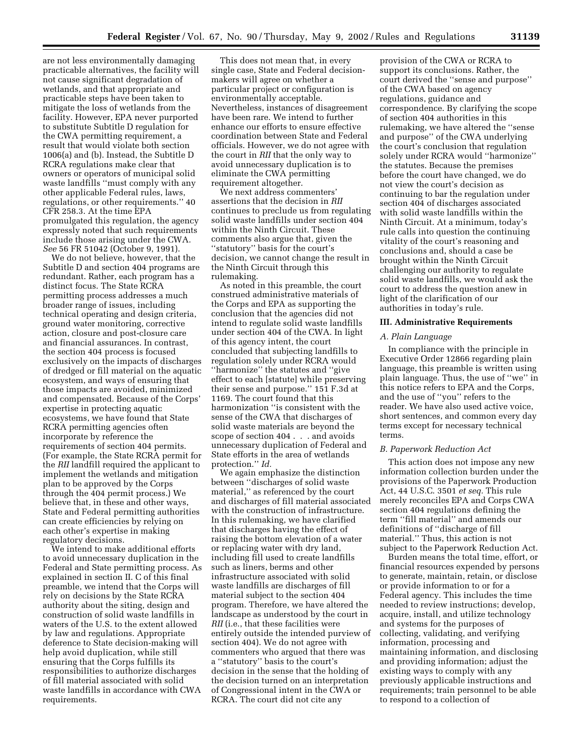are not less environmentally damaging practicable alternatives, the facility will not cause significant degradation of wetlands, and that appropriate and practicable steps have been taken to mitigate the loss of wetlands from the facility. However, EPA never purported to substitute Subtitle D regulation for the CWA permitting requirement, a result that would violate both section 1006(a) and (b). Instead, the Subtitle D RCRA regulations make clear that owners or operators of municipal solid waste landfills ''must comply with any other applicable Federal rules, laws, regulations, or other requirements.'' 40 CFR 258.3. At the time EPA promulgated this regulation, the agency expressly noted that such requirements include those arising under the CWA. *See* 56 FR 51042 (October 9, 1991).

We do not believe, however, that the Subtitle D and section 404 programs are redundant. Rather, each program has a distinct focus. The State RCRA permitting process addresses a much broader range of issues, including technical operating and design criteria, ground water monitoring, corrective action, closure and post-closure care and financial assurances. In contrast, the section 404 process is focused exclusively on the impacts of discharges of dredged or fill material on the aquatic ecosystem, and ways of ensuring that those impacts are avoided, minimized and compensated. Because of the Corps' expertise in protecting aquatic ecosystems, we have found that State RCRA permitting agencies often incorporate by reference the requirements of section 404 permits. (For example, the State RCRA permit for the *RII* landfill required the applicant to implement the wetlands and mitigation plan to be approved by the Corps through the 404 permit process.) We believe that, in these and other ways, State and Federal permitting authorities can create efficiencies by relying on each other's expertise in making regulatory decisions.

We intend to make additional efforts to avoid unnecessary duplication in the Federal and State permitting process. As explained in section II. C of this final preamble, we intend that the Corps will rely on decisions by the State RCRA authority about the siting, design and construction of solid waste landfills in waters of the U.S. to the extent allowed by law and regulations. Appropriate deference to State decision-making will help avoid duplication, while still ensuring that the Corps fulfills its responsibilities to authorize discharges of fill material associated with solid waste landfills in accordance with CWA requirements.

This does not mean that, in every single case, State and Federal decisionmakers will agree on whether a particular project or configuration is environmentally acceptable. Nevertheless, instances of disagreement have been rare. We intend to further enhance our efforts to ensure effective coordination between State and Federal officials. However, we do not agree with the court in *RII* that the only way to avoid unnecessary duplication is to eliminate the CWA permitting requirement altogether.

We next address commenters' assertions that the decision in *RII* continues to preclude us from regulating solid waste landfills under section 404 within the Ninth Circuit. These comments also argue that, given the ''statutory'' basis for the court's decision, we cannot change the result in the Ninth Circuit through this rulemaking.

As noted in this preamble, the court construed administrative materials of the Corps and EPA as supporting the conclusion that the agencies did not intend to regulate solid waste landfills under section 404 of the CWA. In light of this agency intent, the court concluded that subjecting landfills to regulation solely under RCRA would ''harmonize'' the statutes and ''give effect to each [statute] while preserving their sense and purpose.'' 151 F.3d at 1169. The court found that this harmonization ''is consistent with the sense of the CWA that discharges of solid waste materials are beyond the scope of section 404 . . . and avoids unnecessary duplication of Federal and State efforts in the area of wetlands protection.'' *Id.*

We again emphasize the distinction between ''discharges of solid waste material,'' as referenced by the court and discharges of fill material associated with the construction of infrastructure. In this rulemaking, we have clarified that discharges having the effect of raising the bottom elevation of a water or replacing water with dry land, including fill used to create landfills such as liners, berms and other infrastructure associated with solid waste landfills are discharges of fill material subject to the section 404 program. Therefore, we have altered the landscape as understood by the court in *RII* (i.e., that these facilities were entirely outside the intended purview of section 404). We do not agree with commenters who argued that there was a ''statutory'' basis to the court's decision in the sense that the holding of the decision turned on an interpretation of Congressional intent in the CWA or RCRA. The court did not cite any

provision of the CWA or RCRA to support its conclusions. Rather, the court derived the ''sense and purpose'' of the CWA based on agency regulations, guidance and correspondence. By clarifying the scope of section 404 authorities in this rulemaking, we have altered the ''sense and purpose'' of the CWA underlying the court's conclusion that regulation solely under RCRA would ''harmonize'' the statutes. Because the premises before the court have changed, we do not view the court's decision as continuing to bar the regulation under section 404 of discharges associated with solid waste landfills within the Ninth Circuit. At a minimum, today's rule calls into question the continuing vitality of the court's reasoning and conclusions and, should a case be brought within the Ninth Circuit challenging our authority to regulate solid waste landfills, we would ask the court to address the question anew in light of the clarification of our authorities in today's rule.

### **III. Administrative Requirements**

#### *A. Plain Language*

In compliance with the principle in Executive Order 12866 regarding plain language, this preamble is written using plain language. Thus, the use of ''we'' in this notice refers to EPA and the Corps, and the use of ''you'' refers to the reader. We have also used active voice, short sentences, and common every day terms except for necessary technical terms.

# *B. Paperwork Reduction Act*

This action does not impose any new information collection burden under the provisions of the Paperwork Production Act, 44 U.S.C. 3501 *et seq.* This rule merely reconciles EPA and Corps CWA section 404 regulations defining the term ''fill material'' and amends our definitions of ''discharge of fill material.'' Thus, this action is not subject to the Paperwork Reduction Act.

Burden means the total time, effort, or financial resources expended by persons to generate, maintain, retain, or disclose or provide information to or for a Federal agency. This includes the time needed to review instructions; develop, acquire, install, and utilize technology and systems for the purposes of collecting, validating, and verifying information, processing and maintaining information, and disclosing and providing information; adjust the existing ways to comply with any previously applicable instructions and requirements; train personnel to be able to respond to a collection of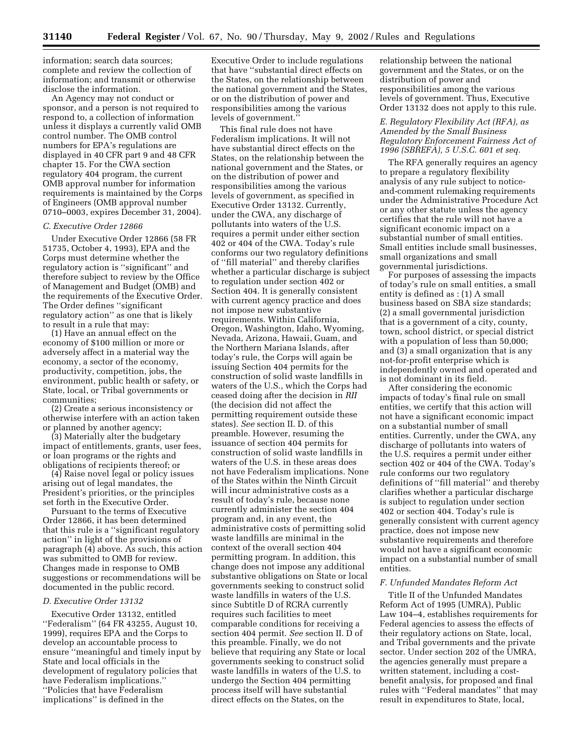information; search data sources; complete and review the collection of information; and transmit or otherwise disclose the information.

An Agency may not conduct or sponsor, and a person is not required to respond to, a collection of information unless it displays a currently valid OMB control number. The OMB control numbers for EPA's regulations are displayed in 40 CFR part 9 and 48 CFR chapter 15. For the CWA section regulatory 404 program, the current OMB approval number for information requirements is maintained by the Corps of Engineers (OMB approval number 0710–0003, expires December 31, 2004).

#### *C. Executive Order 12866*

Under Executive Order 12866 (58 FR 51735, October 4, 1993), EPA and the Corps must determine whether the regulatory action is ''significant'' and therefore subject to review by the Office of Management and Budget (OMB) and the requirements of the Executive Order. The Order defines ''significant regulatory action'' as one that is likely to result in a rule that may:

(1) Have an annual effect on the economy of \$100 million or more or adversely affect in a material way the economy, a sector of the economy, productivity, competition, jobs, the environment, public health or safety, or State, local, or Tribal governments or communities;

(2) Create a serious inconsistency or otherwise interfere with an action taken or planned by another agency;

(3) Materially alter the budgetary impact of entitlements, grants, user fees, or loan programs or the rights and obligations of recipients thereof; or

(4) Raise novel legal or policy issues arising out of legal mandates, the President's priorities, or the principles set forth in the Executive Order.

Pursuant to the terms of Executive Order 12866, it has been determined that this rule is a ''significant regulatory action'' in light of the provisions of paragraph (4) above. As such, this action was submitted to OMB for review. Changes made in response to OMB suggestions or recommendations will be documented in the public record.

# *D. Executive Order 13132*

Executive Order 13132, entitled ''Federalism'' (64 FR 43255, August 10, 1999), requires EPA and the Corps to develop an accountable process to ensure ''meaningful and timely input by State and local officials in the development of regulatory policies that have Federalism implications.'' ''Policies that have Federalism implications'' is defined in the

Executive Order to include regulations that have ''substantial direct effects on the States, on the relationship between the national government and the States, or on the distribution of power and responsibilities among the various levels of government.''

This final rule does not have Federalism implications. It will not have substantial direct effects on the States, on the relationship between the national government and the States, or on the distribution of power and responsibilities among the various levels of government, as specified in Executive Order 13132. Currently, under the CWA, any discharge of pollutants into waters of the U.S. requires a permit under either section 402 or 404 of the CWA. Today's rule conforms our two regulatory definitions of ''fill material'' and thereby clarifies whether a particular discharge is subject to regulation under section 402 or Section 404. It is generally consistent with current agency practice and does not impose new substantive requirements. Within California, Oregon, Washington, Idaho, Wyoming, Nevada, Arizona, Hawaii, Guam, and the Northern Mariana Islands, after today's rule, the Corps will again be issuing Section 404 permits for the construction of solid waste landfills in waters of the U.S., which the Corps had ceased doing after the decision in *RII* (the decision did not affect the permitting requirement outside these states). *See* section II. D. of this preamble. However, resuming the issuance of section 404 permits for construction of solid waste landfills in waters of the U.S. in these areas does not have Federalism implications. None of the States within the Ninth Circuit will incur administrative costs as a result of today's rule, because none currently administer the section 404 program and, in any event, the administrative costs of permitting solid waste landfills are minimal in the context of the overall section 404 permitting program. In addition, this change does not impose any additional substantive obligations on State or local governments seeking to construct solid waste landfills in waters of the U.S. since Subtitle D of RCRA currently requires such facilities to meet comparable conditions for receiving a section 404 permit. *See* section II. D of this preamble. Finally, we do not believe that requiring any State or local governments seeking to construct solid waste landfills in waters of the U.S. to undergo the Section 404 permitting process itself will have substantial direct effects on the States, on the

relationship between the national government and the States, or on the distribution of power and responsibilities among the various levels of government. Thus, Executive Order 13132 does not apply to this rule.

# *E. Regulatory Flexibility Act (RFA), as Amended by the Small Business Regulatory Enforcement Fairness Act of 1996 (SBREFA), 5 U.S.C. 601 et seq.*

The RFA generally requires an agency to prepare a regulatory flexibility analysis of any rule subject to noticeand-comment rulemaking requirements under the Administrative Procedure Act or any other statute unless the agency certifies that the rule will not have a significant economic impact on a substantial number of small entities. Small entities include small businesses, small organizations and small governmental jurisdictions.

For purposes of assessing the impacts of today's rule on small entities, a small entity is defined as : (1) A small business based on SBA size standards; (2) a small governmental jurisdiction that is a government of a city, county, town, school district, or special district with a population of less than 50,000; and (3) a small organization that is any not-for-profit enterprise which is independently owned and operated and is not dominant in its field.

After considering the economic impacts of today's final rule on small entities, we certify that this action will not have a significant economic impact on a substantial number of small entities. Currently, under the CWA, any discharge of pollutants into waters of the U.S. requires a permit under either section 402 or 404 of the CWA. Today's rule conforms our two regulatory definitions of ''fill material'' and thereby clarifies whether a particular discharge is subject to regulation under section 402 or section 404. Today's rule is generally consistent with current agency practice, does not impose new substantive requirements and therefore would not have a significant economic impact on a substantial number of small entities.

#### *F. Unfunded Mandates Reform Act*

Title II of the Unfunded Mandates Reform Act of 1995 (UMRA), Public Law 104–4, establishes requirements for Federal agencies to assess the effects of their regulatory actions on State, local, and Tribal governments and the private sector. Under section 202 of the UMRA, the agencies generally must prepare a written statement, including a costbenefit analysis, for proposed and final rules with ''Federal mandates'' that may result in expenditures to State, local,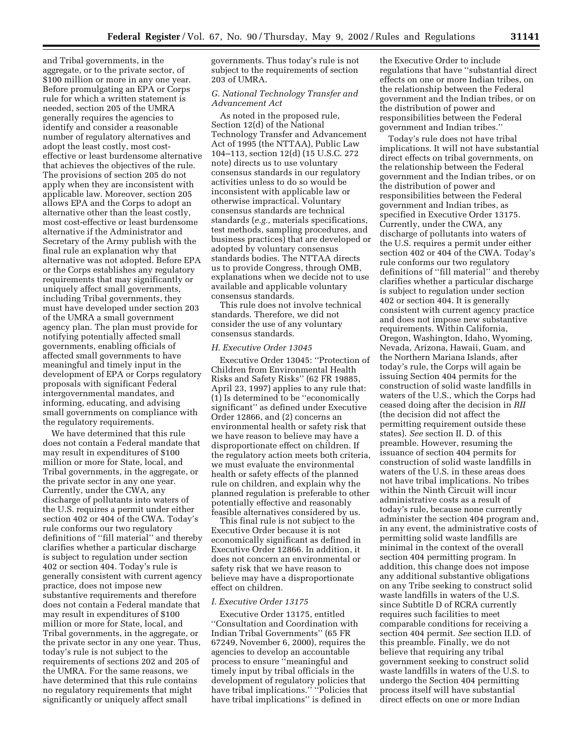and Tribal governments, in the aggregate, or to the private sector, of \$100 million or more in any one year. Before promulgating an EPA or Corps rule for which a written statement is needed, section 205 of the UMRA generally requires the agencies to identify and consider a reasonable number of regulatory alternatives and adopt the least costly, most costeffective or least burdensome alternative that achieves the objectives of the rule. The provisions of section 205 do not apply when they are inconsistent with applicable law. Moreover, section 205 allows EPA and the Corps to adopt an alternative other than the least costly, most cost-effective or least burdensome alternative if the Administrator and Secretary of the Army publish with the final rule an explanation why that alternative was not adopted. Before EPA or the Corps establishes any regulatory requirements that may significantly or uniquely affect small governments, including Tribal governments, they must have developed under section 203 of the UMRA a small government agency plan. The plan must provide for notifying potentially affected small governments, enabling officials of affected small governments to have meaningful and timely input in the development of EPA or Corps regulatory proposals with significant Federal intergovernmental mandates, and informing, educating, and advising small governments on compliance with the regulatory requirements.

We have determined that this rule does not contain a Federal mandate that may result in expenditures of \$100 million or more for State, local, and Tribal governments, in the aggregate, or the private sector in any one year. Currently, under the CWA, any discharge of pollutants into waters of the U.S. requires a permit under either section 402 or 404 of the CWA. Today's rule conforms our two regulatory definitions of ''fill material'' and thereby clarifies whether a particular discharge is subject to regulation under section 402 or section 404. Today's rule is generally consistent with current agency practice, does not impose new substantive requirements and therefore does not contain a Federal mandate that may result in expenditures of \$100 million or more for State, local, and Tribal governments, in the aggregate, or the private sector in any one year. Thus, today's rule is not subject to the requirements of sections 202 and 205 of the UMRA. For the same reasons, we have determined that this rule contains no regulatory requirements that might significantly or uniquely affect small

governments. Thus today's rule is not subject to the requirements of section 203 of UMRA.

# *G. National Technology Transfer and Advancement Act*

As noted in the proposed rule, Section 12(d) of the National Technology Transfer and Advancement Act of 1995 (the NTTAA), Public Law 104–113, section 12(d) (15 U.S.C. 272 note) directs us to use voluntary consensus standards in our regulatory activities unless to do so would be inconsistent with applicable law or otherwise impractical. Voluntary consensus standards are technical standards (*e.g.,* materials specifications, test methods, sampling procedures, and business practices) that are developed or adopted by voluntary consensus standards bodies. The NTTAA directs us to provide Congress, through OMB, explanations when we decide not to use available and applicable voluntary consensus standards.

This rule does not involve technical standards. Therefore, we did not consider the use of any voluntary consensus standards.

### *H. Executive Order 13045*

Executive Order 13045: ''Protection of Children from Environmental Health Risks and Safety Risks'' (62 FR 19885, April 23, 1997) applies to any rule that: (1) Is determined to be ''economically significant'' as defined under Executive Order 12866, and (2) concerns an environmental health or safety risk that we have reason to believe may have a disproportionate effect on children. If the regulatory action meets both criteria, we must evaluate the environmental health or safety effects of the planned rule on children, and explain why the planned regulation is preferable to other potentially effective and reasonably feasible alternatives considered by us.

This final rule is not subject to the Executive Order because it is not economically significant as defined in Executive Order 12866. In addition, it does not concern an environmental or safety risk that we have reason to believe may have a disproportionate effect on children.

### *I. Executive Order 13175*

Executive Order 13175, entitled ''Consultation and Coordination with Indian Tribal Governments'' (65 FR 67249, November 6, 2000), requires the agencies to develop an accountable process to ensure ''meaningful and timely input by tribal officials in the development of regulatory policies that have tribal implications.'' ''Policies that have tribal implications'' is defined in

the Executive Order to include regulations that have ''substantial direct effects on one or more Indian tribes, on the relationship between the Federal government and the Indian tribes, or on the distribution of power and responsibilities between the Federal government and Indian tribes.''

Today's rule does not have tribal implications. It will not have substantial direct effects on tribal governments, on the relationship between the Federal government and the Indian tribes, or on the distribution of power and responsibilities between the Federal government and Indian tribes, as specified in Executive Order 13175. Currently, under the CWA, any discharge of pollutants into waters of the U.S. requires a permit under either section 402 or 404 of the CWA. Today's rule conforms our two regulatory definitions of ''fill material'' and thereby clarifies whether a particular discharge is subject to regulation under section 402 or section 404. It is generally consistent with current agency practice and does not impose new substantive requirements. Within California, Oregon, Washington, Idaho, Wyoming, Nevada, Arizona, Hawaii, Guam, and the Northern Mariana Islands, after today's rule, the Corps will again be issuing Section 404 permits for the construction of solid waste landfills in waters of the U.S., which the Corps had ceased doing after the decision in *RII* (the decision did not affect the permitting requirement outside these states). *See* section II. D. of this preamble. However, resuming the issuance of section 404 permits for construction of solid waste landfills in waters of the U.S. in these areas does not have tribal implications. No tribes within the Ninth Circuit will incur administrative costs as a result of today's rule, because none currently administer the section 404 program and, in any event, the administrative costs of permitting solid waste landfills are minimal in the context of the overall section 404 permitting program. In addition, this change does not impose any additional substantive obligations on any Tribe seeking to construct solid waste landfills in waters of the U.S. since Subtitle D of RCRA currently requires such facilities to meet comparable conditions for receiving a section 404 permit. *See* section II.D. of this preamble. Finally, we do not believe that requiring any tribal government seeking to construct solid waste landfills in waters of the U.S. to undergo the Section 404 permitting process itself will have substantial direct effects on one or more Indian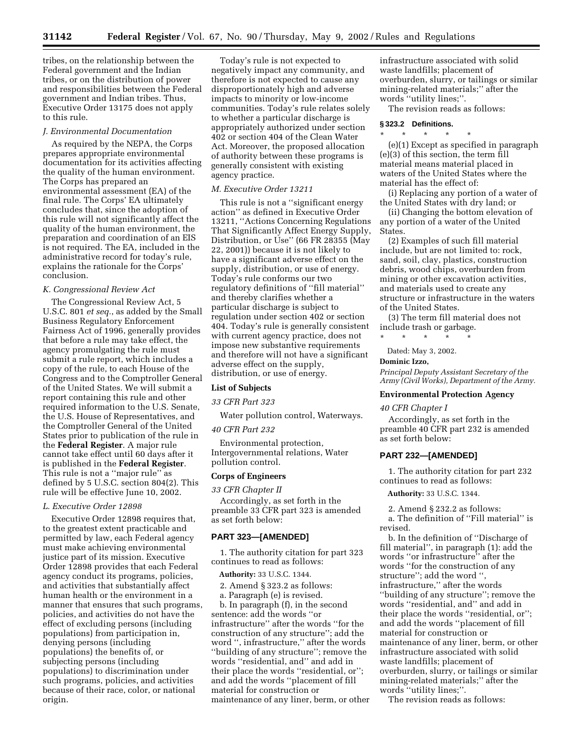tribes, on the relationship between the Federal government and the Indian tribes, or on the distribution of power and responsibilities between the Federal government and Indian tribes. Thus, Executive Order 13175 does not apply to this rule.

# *J. Environmental Documentation*

As required by the NEPA, the Corps prepares appropriate environmental documentation for its activities affecting the quality of the human environment. The Corps has prepared an environmental assessment (EA) of the final rule. The Corps' EA ultimately concludes that, since the adoption of this rule will not significantly affect the quality of the human environment, the preparation and coordination of an EIS is not required. The EA, included in the administrative record for today's rule, explains the rationale for the Corps' conclusion.

## *K. Congressional Review Act*

The Congressional Review Act, 5 U.S.C. 801 *et seq.*, as added by the Small Business Regulatory Enforcement Fairness Act of 1996, generally provides that before a rule may take effect, the agency promulgating the rule must submit a rule report, which includes a copy of the rule, to each House of the Congress and to the Comptroller General of the United States. We will submit a report containing this rule and other required information to the U.S. Senate, the U.S. House of Representatives, and the Comptroller General of the United States prior to publication of the rule in the **Federal Register**. A major rule cannot take effect until 60 days after it is published in the **Federal Register**. This rule is not a ''major rule'' as defined by 5 U.S.C. section 804(2). This rule will be effective June 10, 2002.

### *L. Executive Order 12898*

Executive Order 12898 requires that, to the greatest extent practicable and permitted by law, each Federal agency must make achieving environmental justice part of its mission. Executive Order 12898 provides that each Federal agency conduct its programs, policies, and activities that substantially affect human health or the environment in a manner that ensures that such programs, policies, and activities do not have the effect of excluding persons (including populations) from participation in, denying persons (including populations) the benefits of, or subjecting persons (including populations) to discrimination under such programs, policies, and activities because of their race, color, or national origin.

Today's rule is not expected to negatively impact any community, and therefore is not expected to cause any disproportionately high and adverse impacts to minority or low-income communities. Today's rule relates solely to whether a particular discharge is appropriately authorized under section 402 or section 404 of the Clean Water Act. Moreover, the proposed allocation of authority between these programs is generally consistent with existing agency practice.

#### *M. Executive Order 13211*

This rule is not a ''significant energy action'' as defined in Executive Order 13211, ''Actions Concerning Regulations That Significantly Affect Energy Supply, Distribution, or Use'' (66 FR 28355 (May 22, 2001)) because it is not likely to have a significant adverse effect on the supply, distribution, or use of energy. Today's rule conforms our two regulatory definitions of ''fill material'' and thereby clarifies whether a particular discharge is subject to regulation under section 402 or section 404. Today's rule is generally consistent with current agency practice, does not impose new substantive requirements and therefore will not have a significant adverse effect on the supply, distribution, or use of energy.

# **List of Subjects**

*33 CFR Part 323*

Water pollution control, Waterways.

#### *40 CFR Part 232*

Environmental protection, Intergovernmental relations, Water pollution control.

### **Corps of Engineers**

*33 CFR Chapter II*

Accordingly, as set forth in the preamble 33 CFR part 323 is amended as set forth below:

#### **PART 323—[AMENDED]**

1. The authority citation for part 323 continues to read as follows:

**Authority:** 33 U.S.C. 1344.

- 2. Amend § 323.2 as follows:
- a. Paragraph (e) is revised.

b. In paragraph (f), in the second sentence: add the words ''or infrastructure'' after the words ''for the construction of any structure''; add the word '', infrastructure,'' after the words ''building of any structure''; remove the words ''residential, and'' and add in their place the words ''residential, or''; and add the words ''placement of fill material for construction or maintenance of any liner, berm, or other infrastructure associated with solid waste landfills; placement of overburden, slurry, or tailings or similar mining-related materials;'' after the words ''utility lines;''.

The revision reads as follows:

# **§ 323.2 Definitions.**

\* \* \* \* \* (e)(1) Except as specified in paragraph (e)(3) of this section, the term fill material means material placed in waters of the United States where the material has the effect of:

(i) Replacing any portion of a water of the United States with dry land; or

(ii) Changing the bottom elevation of any portion of a water of the United States.

(2) Examples of such fill material include, but are not limited to: rock, sand, soil, clay, plastics, construction debris, wood chips, overburden from mining or other excavation activities, and materials used to create any structure or infrastructure in the waters of the United States.

(3) The term fill material does not include trash or garbage.

\* \* \* \* \* Dated: May 3, 2002.

# **Dominic Izzo,**

*Principal Deputy Assistant Secretary of the Army (Civil Works), Department of the Army.*

### **Environmental Protection Agency**

#### *40 CFR Chapter I*

Accordingly, as set forth in the preamble 40 CFR part 232 is amended as set forth below:

### **PART 232—[AMENDED]**

1. The authority citation for part 232 continues to read as follows:

#### **Authority:** 33 U.S.C. 1344.

2. Amend § 232.2 as follows:

a. The definition of ''Fill material'' is revised.

b. In the definition of ''Discharge of fill material'', in paragraph (1): add the words ''or infrastructure'' after the words ''for the construction of any structure''; add the word '', infrastructure,'' after the words ''building of any structure''; remove the words ''residential, and'' and add in their place the words ''residential, or''; and add the words ''placement of fill material for construction or maintenance of any liner, berm, or other infrastructure associated with solid waste landfills; placement of overburden, slurry, or tailings or similar mining-related materials;'' after the words ''utility lines;''.

The revision reads as follows: